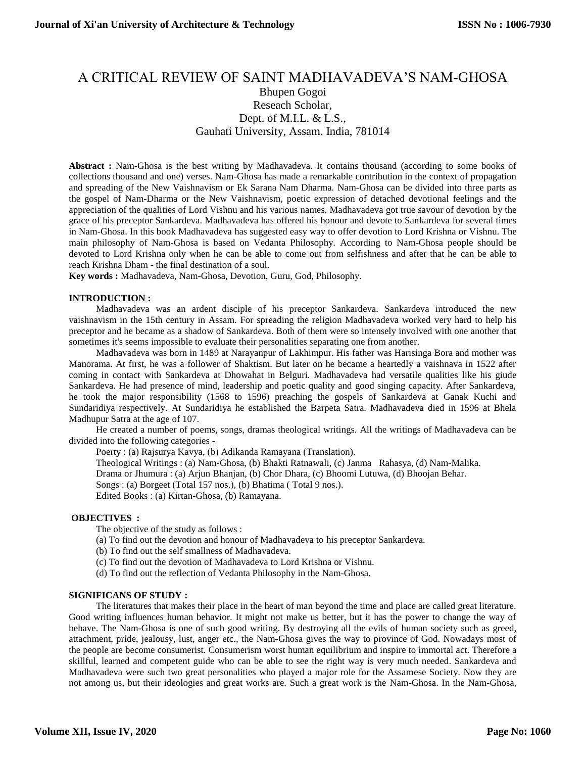# A CRITICAL REVIEW OF SAINT MADHAVADEVA'S NAM-GHOSA Bhupen Gogoi Reseach Scholar, Dept. of M.I.L. & L.S., Gauhati University, Assam. India, 781014

**Abstract :** Nam-Ghosa is the best writing by Madhavadeva. It contains thousand (according to some books of collections thousand and one) verses. Nam-Ghosa has made a remarkable contribution in the context of propagation and spreading of the New Vaishnavism or Ek Sarana Nam Dharma. Nam-Ghosa can be divided into three parts as the gospel of Nam-Dharma or the New Vaishnavism, poetic expression of detached devotional feelings and the appreciation of the qualities of Lord Vishnu and his various names. Madhavadeva got true savour of devotion by the grace of his preceptor Sankardeva. Madhavadeva has offered his honour and devote to Sankardeva for several times in Nam-Ghosa. In this book Madhavadeva has suggested easy way to offer devotion to Lord Krishna or Vishnu. The main philosophy of Nam-Ghosa is based on Vedanta Philosophy. According to Nam-Ghosa people should be devoted to Lord Krishna only when he can be able to come out from selfishness and after that he can be able to reach Krishna Dham - the final destination of a soul.

**Key words :** Madhavadeva, Nam-Ghosa, Devotion, Guru, God, Philosophy.

#### **INTRODUCTION :**

Madhavadeva was an ardent disciple of his preceptor Sankardeva. Sankardeva introduced the new vaishnavism in the 15th century in Assam. For spreading the religion Madhavadeva worked very hard to help his preceptor and he became as a shadow of Sankardeva. Both of them were so intensely involved with one another that sometimes it's seems impossible to evaluate their personalities separating one from another.

Madhavadeva was born in 1489 at Narayanpur of Lakhimpur. His father was Harisinga Bora and mother was Manorama. At first, he was a follower of Shaktism. But later on he became a heartedly a vaishnava in 1522 after coming in contact with Sankardeva at Dhowahat in Belguri. Madhavadeva had versatile qualities like his giude Sankardeva. He had presence of mind, leadership and poetic quality and good singing capacity. After Sankardeva, he took the major responsibility (1568 to 1596) preaching the gospels of Sankardeva at Ganak Kuchi and Sundaridiya respectively. At Sundaridiya he established the Barpeta Satra. Madhavadeva died in 1596 at Bhela Madhupur Satra at the age of 107.

He created a number of poems, songs, dramas theological writings. All the writings of Madhavadeva can be divided into the following categories -

Poerty : (a) Rajsurya Kavya, (b) Adikanda Ramayana (Translation). Theological Writings : (a) Nam-Ghosa, (b) Bhakti Ratnawali, (c) Janma Rahasya, (d) Nam-Malika. Drama or Jhumura : (a) Arjun Bhanjan, (b) Chor Dhara, (c) Bhoomi Lutuwa, (d) Bhoojan Behar. Songs : (a) Borgeet (Total 157 nos.), (b) Bhatima ( Total 9 nos.). Edited Books : (a) Kirtan-Ghosa, (b) Ramayana.

#### **OBJECTIVES :**

The objective of the study as follows :

- (a) To find out the devotion and honour of Madhavadeva to his preceptor Sankardeva.
- (b) To find out the self smallness of Madhavadeva.
- (c) To find out the devotion of Madhavadeva to Lord Krishna or Vishnu.
- (d) To find out the reflection of Vedanta Philosophy in the Nam-Ghosa.

## **SIGNIFICANS OF STUDY :**

The literatures that makes their place in the heart of man beyond the time and place are called great literature. Good writing influences human behavior. It might not make us better, but it has the power to change the way of behave. The Nam-Ghosa is one of such good writing. By destroying all the evils of human society such as greed, attachment, pride, jealousy, lust, anger etc., the Nam-Ghosa gives the way to province of God. Nowadays most of the people are become consumerist. Consumerism worst human equilibrium and inspire to immortal act. Therefore a skillful, learned and competent guide who can be able to see the right way is very much needed. Sankardeva and Madhavadeva were such two great personalities who played a major role for the Assamese Society. Now they are not among us, but their ideologies and great works are. Such a great work is the Nam-Ghosa. In the Nam-Ghosa,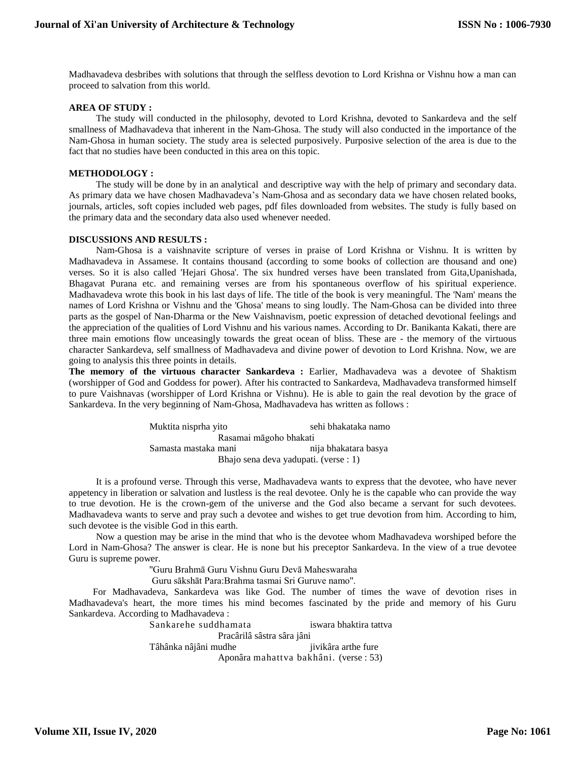Madhavadeva desbribes with solutions that through the selfless devotion to Lord Krishna or Vishnu how a man can proceed to salvation from this world.

#### **AREA OF STUDY :**

The study will conducted in the philosophy, devoted to Lord Krishna, devoted to Sankardeva and the self smallness of Madhavadeva that inherent in the Nam-Ghosa. The study will also conducted in the importance of the Nam-Ghosa in human society. The study area is selected purposively. Purposive selection of the area is due to the fact that no studies have been conducted in this area on this topic.

## **METHODOLOGY :**

The study will be done by in an analytical and descriptive way with the help of primary and secondary data. As primary data we have chosen Madhavadeva's Nam-Ghosa and as secondary data we have chosen related books, journals, articles, soft copies included web pages, pdf files downloaded from websites. The study is fully based on the primary data and the secondary data also used whenever needed.

#### **DISCUSSIONS AND RESULTS :**

Nam-Ghosa is a vaishnavite scripture of verses in praise of Lord Krishna or Vishnu. It is written by Madhavadeva in Assamese. It contains thousand (according to some books of collection are thousand and one) verses. So it is also called 'Hejari Ghosa'. The six hundred verses have been translated from Gita,Upanishada, Bhagavat Purana etc. and remaining verses are from his spontaneous overflow of his spiritual experience. Madhavadeva wrote this book in his last days of life. The title of the book is very meaningful. The 'Nam' means the names of Lord Krishna or Vishnu and the 'Ghosa' means to sing loudly. The Nam-Ghosa can be divided into three parts as the gospel of Nan-Dharma or the New Vaishnavism, poetic expression of detached devotional feelings and the appreciation of the qualities of Lord Vishnu and his various names. According to Dr. Banikanta Kakati, there are three main emotions flow unceasingly towards the great ocean of bliss. These are - the memory of the virtuous character Sankardeva, self smallness of Madhavadeva and divine power of devotion to Lord Krishna. Now, we are going to analysis this three points in details.

The memory of the virtuous character Sankardeva : Earlier, Madhavadeva was a devotee of Shaktism (worshipper of God and Goddess for power). After his contracted to Sankardeva, Madhavadeva transformed himself to pure Vaishnavas (worshipper of Lord Krishna or Vishnu). He is able to gain the real devotion by the grace of Sankardeva. In the very beginning of Nam-Ghosa, Madhavadeva has written as follows :

> Muktita nisprha yito sehi bhakataka namo Rasamai māgoho bhakati Samasta mastaka mani nija bhakatara basya Bhajo sena deva yadupati. (verse : 1)

It is a profound verse. Through this verse, Madhavadeva wants to express that the devotee, who have never appetency in liberation or salvation and lustless is the real devotee. Only he is the capable who can provide the way to true devotion. He is the crown-gem of the universe and the God also became a servant for such devotees. Madhavadeva wants to serve and pray such a devotee and wishes to get true devotion from him. According to him, such devotee is the visible God in this earth.

Now a question may be arise in the mind that who is the devotee whom Madhavadeva worshiped before the Lord in Nam-Ghosa? The answer is clear. He is none but his preceptor Sankardeva. In the view of a true devotee Guru is supreme power.

''Guru Brahmā Guru Vishnu Guru Devā Maheswaraha

Guru sākshāt Para:Brahma tasmai Sri Guruve namo''.

 For Madhavadeva, Sankardeva was like God. The number of times the wave of devotion rises in Madhavadeva's heart, the more times his mind becomes fascinated by the pride and memory of his Guru Sankardeva. According to Madhavadeva :

> Sankarehe suddhamata iswara bhaktira tattva Pracârilâ sâstra sâra jâni Tâhânka nâjâni mudhe jivikâra arthe fure

Aponâra mahattva bakhâni. (verse : 53)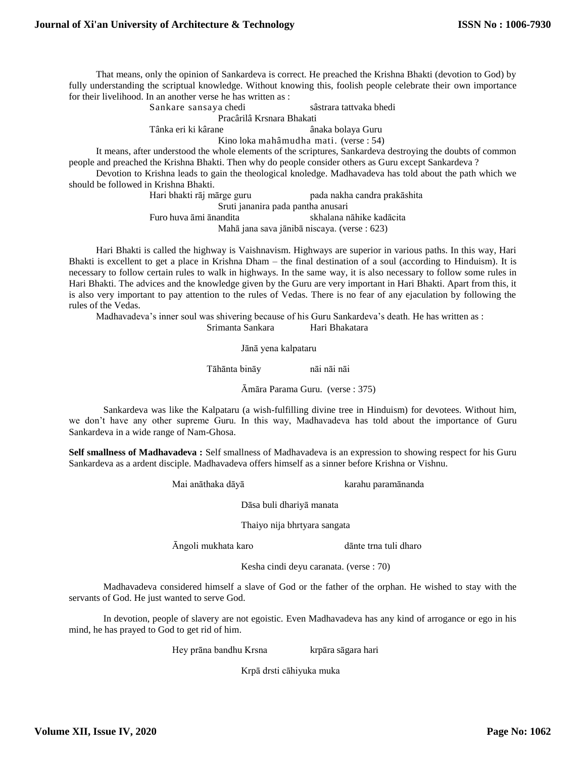That means, only the opinion of Sankardeva is correct. He preached the Krishna Bhakti (devotion to God) by fully understanding the scriptual knowledge. Without knowing this, foolish people celebrate their own importance for their livelihood. In an another verse he has written as :

Sankare sansaya chedi sâstrara tattvaka bhedi

Pracârilâ Krsnara Bhakati

Tânka eri ki kârane **anaka bolaya Guru** 

Kino loka mahâmudha mati. (verse : 54)

It means, after understood the whole elements of the scriptures, Sankardeva destroying the doubts of common people and preached the Krishna Bhakti. Then why do people consider others as Guru except Sankardeva ?

Devotion to Krishna leads to gain the theological knoledge. Madhavadeva has told about the path which we should be followed in Krishna Bhakti.

Hari bhakti rāj mārge guru pada nakha candra prakāshita Sruti jananira pada pantha anusari Furo huva āmi ānandita skhalana nāhike kadācita Mahā jana sava jānibā niscaya. (verse : 623)

Hari Bhakti is called the highway is Vaishnavism. Highways are superior in various paths. In this way, Hari Bhakti is excellent to get a place in Krishna Dham – the final destination of a soul (according to Hinduism). It is necessary to follow certain rules to walk in highways. In the same way, it is also necessary to follow some rules in Hari Bhakti. The advices and the knowledge given by the Guru are very important in Hari Bhakti. Apart from this, it is also very important to pay attention to the rules of Vedas. There is no fear of any ejaculation by following the rules of the Vedas.

Madhavadeva's inner soul was shivering because of his Guru Sankardeva's death. He has written as :

Srimanta Sankara Hari Bhakatara

Jānā yena kalpataru

Tāhānta bināy nāi nāi nāi

Āmāra Parama Guru. (verse : 375)

Sankardeva was like the Kalpataru (a wish-fulfilling divine tree in Hinduism) for devotees. Without him, we don't have any other supreme Guru. In this way, Madhavadeva has told about the importance of Guru Sankardeva in a wide range of Nam-Ghosa.

**Self smallness of Madhavadeva :** Self smallness of Madhavadeva is an expression to showing respect for his Guru Sankardeva as a ardent disciple. Madhavadeva offers himself as a sinner before Krishna or Vishnu.

Mai anāthaka dāyā karahu paramānanda

Dāsa buli dhariyā manata

Thaiyo nija bhrtyara sangata

Āngoli mukhata karo dānte trna tuli dharo

Kesha cindi deyu caranata. (verse : 70)

Madhavadeva considered himself a slave of God or the father of the orphan. He wished to stay with the servants of God. He just wanted to serve God.

In devotion, people of slavery are not egoistic. Even Madhavadeva has any kind of arrogance or ego in his mind, he has prayed to God to get rid of him.

Hey prāna bandhu Krsna krpāra sāgara hari

Krpā drsti cāhiyuka muka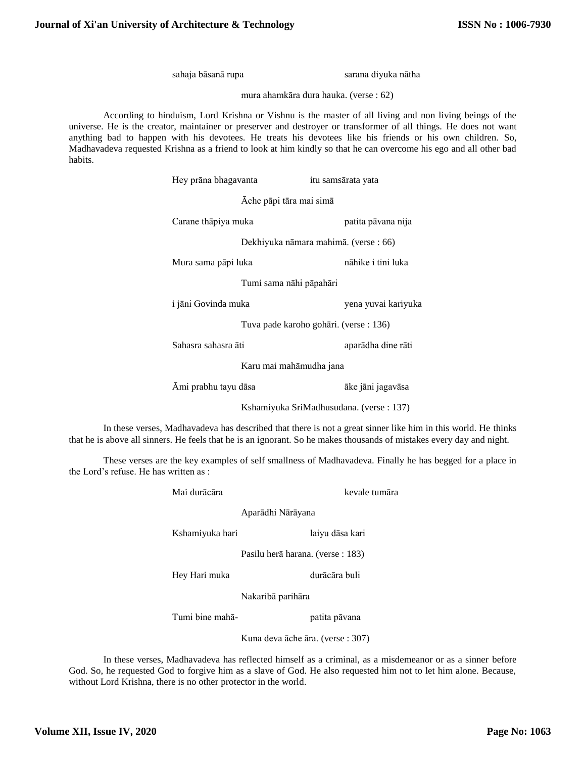sahaja bāsanā rupa sarana diyuka nātha

mura ahamkāra dura hauka. (verse : 62)

According to hinduism, Lord Krishna or Vishnu is the master of all living and non living beings of the universe. He is the creator, maintainer or preserver and destroyer or transformer of all things. He does not want anything bad to happen with his devotees. He treats his devotees like his friends or his own children. So, Madhavadeva requested Krishna as a friend to look at him kindly so that he can overcome his ego and all other bad habits.

| Hey prāna bhagavanta                    |                                       | itu samsārata yata |                     |  |
|-----------------------------------------|---------------------------------------|--------------------|---------------------|--|
| Āche pāpi tāra mai simā                 |                                       |                    |                     |  |
| Carane thāpiya muka                     |                                       |                    | patita pāvana nija  |  |
|                                         | Dekhiyuka nāmara mahimā. (verse : 66) |                    |                     |  |
| Mura sama pāpi luka                     |                                       |                    | nāhike i tini luka  |  |
|                                         | Tumi sama nāhi pāpahāri               |                    |                     |  |
| i jāni Govinda muka                     |                                       |                    | yena yuvai kariyuka |  |
| Tuva pade karoho gohāri. (verse : 136)  |                                       |                    |                     |  |
| Sahasra sahasra āti                     |                                       |                    | aparādha dine rāti  |  |
| Karu mai mahāmudha jana                 |                                       |                    |                     |  |
| Āmi prabhu tayu dāsa                    |                                       |                    | āke jāni jagavāsa   |  |
| Kshamiyuka SriMadhusudana. (verse: 137) |                                       |                    |                     |  |

In these verses, Madhavadeva has described that there is not a great sinner like him in this world. He thinks that he is above all sinners. He feels that he is an ignorant. So he makes thousands of mistakes every day and night.

These verses are the key examples of self smallness of Madhavadeva. Finally he has begged for a place in the Lord's refuse. He has written as :

| Mai durācāra    | kevale tumāra                     |
|-----------------|-----------------------------------|
|                 | Aparādhi Nārāyana                 |
| Kshamiyuka hari | laiyu dāsa kari                   |
|                 | Pasilu herā harana. (verse : 183) |
| Hey Hari muka   | durācāra buli                     |
|                 | Nakaribā parihāra                 |

Tumi bine mahā-<br>
patita pāvana

Kuna deva āche āra. (verse : 307)

In these verses, Madhavadeva has reflected himself as a criminal, as a misdemeanor or as a sinner before God. So, he requested God to forgive him as a slave of God. He also requested him not to let him alone. Because, without Lord Krishna, there is no other protector in the world.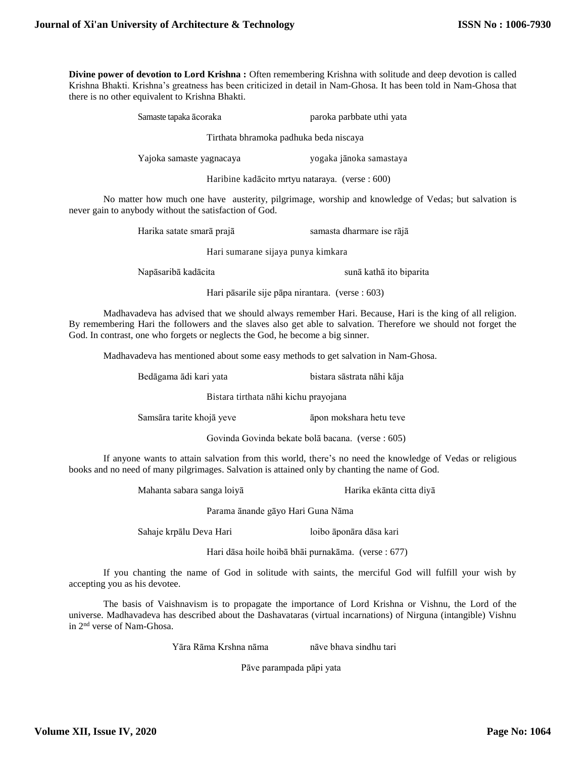**Divine power of devotion to Lord Krishna :** Often remembering Krishna with solitude and deep devotion is called Krishna Bhakti. Krishna's greatness has been criticized in detail in Nam-Ghosa. It has been told in Nam-Ghosa that there is no other equivalent to Krishna Bhakti.

> Samaste tapaka  $\bar{a}$ coraka paroka paroka paroka uthi yata Tirthata bhramoka padhuka beda niscaya

Yajoka samaste yagnacaya yogaka jānoka samastaya

Haribine kadācito mrtyu nataraya. (verse : 600)

No matter how much one have austerity, pilgrimage, worship and knowledge of Vedas; but salvation is never gain to anybody without the satisfaction of God.

Harika satate smarā prajā samasta dharmare ise rājā

Hari sumarane sijaya punya kimkara

Napāsaribā kadācita sunā kathā ito biparita

Hari pāsarile sije pāpa nirantara. (verse : 603)

Madhavadeva has advised that we should always remember Hari. Because, Hari is the king of all religion. By remembering Hari the followers and the slaves also get able to salvation. Therefore we should not forget the God. In contrast, one who forgets or neglects the God, he become a big sinner.

Madhavadeva has mentioned about some easy methods to get salvation in Nam-Ghosa.

Bedāgama ādi kari yata bistara sāstrata nāhi kāja

Bistara tirthata nāhi kichu prayojana

Samsāra tarite khojā yeve **a**pon mokshara hetu teve

Govinda Govinda bekate bolā bacana. (verse : 605)

If anyone wants to attain salvation from this world, there's no need the knowledge of Vedas or religious books and no need of many pilgrimages. Salvation is attained only by chanting the name of God.

Mahanta sabara sanga loiyā Harika ekānta citta diyā

Parama ānande gāyo Hari Guna Nāma

Sahaje krpālu Deva Hari loibo āponāra dāsa kari

Hari dāsa hoile hoibā bhāi purnakāma. (verse : 677)

If you chanting the name of God in solitude with saints, the merciful God will fulfill your wish by accepting you as his devotee.

The basis of Vaishnavism is to propagate the importance of Lord Krishna or Vishnu, the Lord of the universe. Madhavadeva has described about the Dashavataras (virtual incarnations) of Nirguna (intangible) Vishnu in 2nd verse of Nam-Ghosa.

Yāra Rāma Krshna nāma nāve bhava sindhu tari

Pāve parampada pāpi yata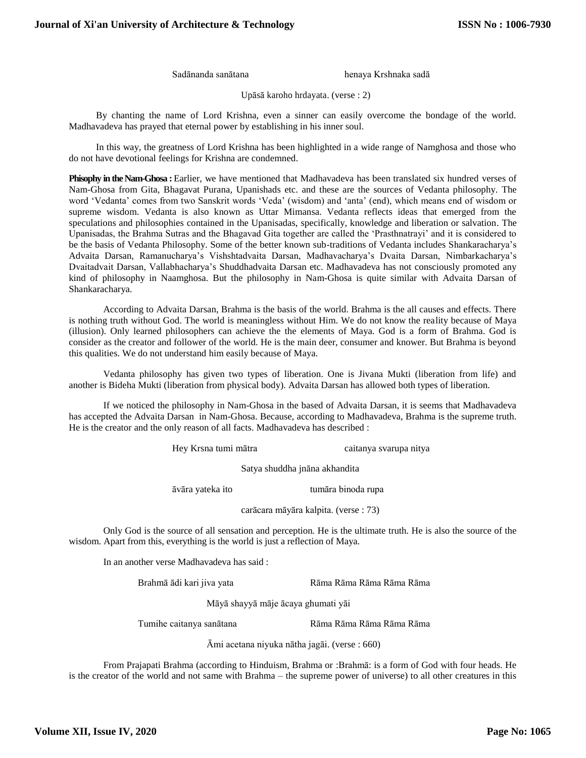Sadānanda sanātana henaya Krshnaka sadā

Upāsā karoho hrdayata. (verse : 2)

By chanting the name of Lord Krishna, even a sinner can easily overcome the bondage of the world. Madhavadeva has prayed that eternal power by establishing in his inner soul.

In this way, the greatness of Lord Krishna has been highlighted in a wide range of Namghosa and those who do not have devotional feelings for Krishna are condemned.

**Phisophy in the Nam-Ghosa :** Earlier, we have mentioned that Madhavadeva has been translated six hundred verses of Nam-Ghosa from Gita, Bhagavat Purana, Upanishads etc. and these are the sources of Vedanta philosophy. The word 'Vedanta' comes from two Sanskrit words 'Veda' (wisdom) and 'anta' (end), which means end of wisdom or supreme wisdom. Vedanta is also known as Uttar Mimansa. Vedanta reflects ideas that emerged from the speculations and philosophies contained in the Upanisadas, specifically, knowledge and liberation or salvation. The Upanisadas, the Brahma Sutras and the Bhagavad Gita together are called the 'Prasthnatrayi' and it is considered to be the basis of Vedanta Philosophy. Some of the better known sub-traditions of Vedanta includes Shankaracharya's Advaita Darsan, Ramanucharya's Vishshtadvaita Darsan, Madhavacharya's Dvaita Darsan, Nimbarkacharya's Dvaitadvait Darsan, Vallabhacharya's Shuddhadvaita Darsan etc. Madhavadeva has not consciously promoted any kind of philosophy in Naamghosa. But the philosophy in Nam-Ghosa is quite similar with Advaita Darsan of Shankaracharya.

According to Advaita Darsan, Brahma is the basis of the world. Brahma is the all causes and effects. There is nothing truth without God. The world is meaningless without Him. We do not know the reality because of Maya (illusion). Only learned philosophers can achieve the the elements of Maya. God is a form of Brahma. God is consider as the creator and follower of the world. He is the main deer, consumer and knower. But Brahma is beyond this qualities. We do not understand him easily because of Maya.

Vedanta philosophy has given two types of liberation. One is Jivana Mukti (liberation from life) and another is Bideha Mukti (liberation from physical body). Advaita Darsan has allowed both types of liberation.

If we noticed the philosophy in Nam-Ghosa in the based of Advaita Darsan, it is seems that Madhavadeva has accepted the Advaita Darsan in Nam-Ghosa. Because, according to Madhavadeva, Brahma is the supreme truth. He is the creator and the only reason of all facts. Madhavadeva has described :

Hey Krsna tumi mātra caitanya svarupa nitya

Satya shuddha jnāna akhandita

āvāra yateka ito tumāra binoda rupa

carācara māyāra kalpita. (verse : 73)

Only God is the source of all sensation and perception. He is the ultimate truth. He is also the source of the wisdom. Apart from this, everything is the world is just a reflection of Maya.

In an another verse Madhavadeva has said :

Brahmā ādi kari jiva yata **Rāma Rāma Rāma Rāma Rāma Rāma** 

Māyā shayyā māje ācaya ghumati yāi

Tumihe caitanya sanātana Rāma Rāma Rāma Rāma Rāma

Āmi acetana niyuka nātha jagāi. (verse : 660)

From Prajapati Brahma (according to Hinduism, Brahma or :Brahmā: is a form of God with four heads. He is the creator of the world and not same with Brahma – the supreme power of universe) to all other creatures in this